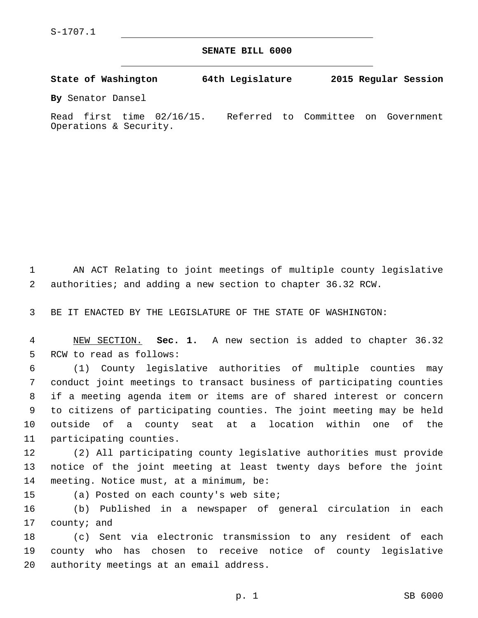**SENATE BILL 6000**

**State of Washington 64th Legislature 2015 Regular Session By** Senator Dansel

Read first time 02/16/15. Referred to Committee on Government Operations & Security.

1 AN ACT Relating to joint meetings of multiple county legislative 2 authorities; and adding a new section to chapter 36.32 RCW.

3 BE IT ENACTED BY THE LEGISLATURE OF THE STATE OF WASHINGTON:

4 NEW SECTION. **Sec. 1.** A new section is added to chapter 36.32 5 RCW to read as follows:

 (1) County legislative authorities of multiple counties may conduct joint meetings to transact business of participating counties if a meeting agenda item or items are of shared interest or concern to citizens of participating counties. The joint meeting may be held outside of a county seat at a location within one of the 11 participating counties.

12 (2) All participating county legislative authorities must provide 13 notice of the joint meeting at least twenty days before the joint 14 meeting. Notice must, at a minimum, be:

15 (a) Posted on each county's web site;

16 (b) Published in a newspaper of general circulation in each 17 county; and

18 (c) Sent via electronic transmission to any resident of each 19 county who has chosen to receive notice of county legislative 20 authority meetings at an email address.